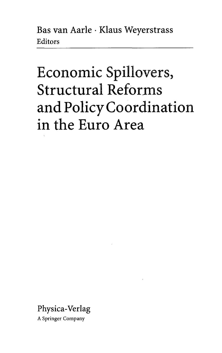Bas van Aarle • Klaus Weyerstrass Editors

## Economic Spillovers, Structural Reforms and Policy Coordination in the Euro Area

Physica-Verlag

A Springer Company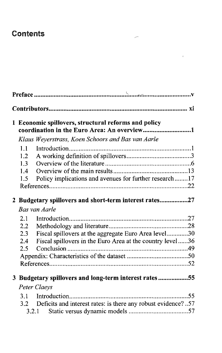## Contents

|  |     | 1 Economic spillovers, structural reforms and policy<br>coordination in the Euro Area: An overview1 |  |  |
|--|-----|-----------------------------------------------------------------------------------------------------|--|--|
|  |     | Klaus Weyerstrass, Koen Schoors and Bas van Aarle                                                   |  |  |
|  | 1.1 |                                                                                                     |  |  |
|  | 1.2 |                                                                                                     |  |  |
|  | 1.3 |                                                                                                     |  |  |
|  | 1.4 |                                                                                                     |  |  |
|  | 1.5 | Policy implications and avenues for further research17                                              |  |  |
|  |     |                                                                                                     |  |  |
|  |     | 2 Budgetary spillovers and short-term interest rates27                                              |  |  |
|  |     | <b>Bas van Aarle</b>                                                                                |  |  |
|  | 2.1 |                                                                                                     |  |  |
|  | 2.2 |                                                                                                     |  |  |
|  | 2.3 | Fiscal spillovers at the aggregate Euro Area level30                                                |  |  |
|  | 2.4 | Fiscal spillovers in the Euro Area at the country level36                                           |  |  |
|  | 2.5 |                                                                                                     |  |  |
|  |     |                                                                                                     |  |  |
|  |     |                                                                                                     |  |  |
|  |     | 3 Budgetary spillovers and long-term interest rates55                                               |  |  |
|  |     | <b>Peter Claeys</b>                                                                                 |  |  |
|  | 3.1 |                                                                                                     |  |  |
|  | 3.2 | Deficits and interest rates: is there any robust evidence?57                                        |  |  |
|  |     |                                                                                                     |  |  |

 $\overline{\phantom{a}}$ 

 $\mathcal{L}_{\mathbf{c}}$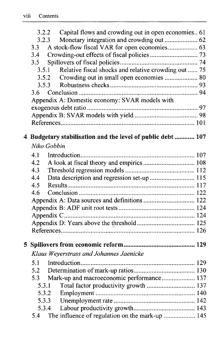| 3.2.3<br>3.3<br>3.4<br>3.5<br>3.5.1<br>3.5.2<br>3.6 | 3.2.2 Capital flows and crowding out in open economies 61<br>Relative fiscal shocks and relative crowding out  75<br>Appendix A: Domestic economy: SVAR models with |
|-----------------------------------------------------|---------------------------------------------------------------------------------------------------------------------------------------------------------------------|
|                                                     | 4 Budgetary stabilisation and the level of public debt  107                                                                                                         |
| Niko Gobbin                                         |                                                                                                                                                                     |
| 4.1                                                 |                                                                                                                                                                     |
| 4.2                                                 |                                                                                                                                                                     |
| 4.3                                                 |                                                                                                                                                                     |
| 4.4                                                 | Data description and regression set-up  115                                                                                                                         |
| 4.5                                                 |                                                                                                                                                                     |
| 4.6                                                 |                                                                                                                                                                     |
|                                                     |                                                                                                                                                                     |
|                                                     |                                                                                                                                                                     |
|                                                     |                                                                                                                                                                     |
|                                                     |                                                                                                                                                                     |
|                                                     |                                                                                                                                                                     |
|                                                     |                                                                                                                                                                     |
|                                                     | Klaus Weyerstrass and Johannes Jaenicke                                                                                                                             |
|                                                     |                                                                                                                                                                     |
|                                                     |                                                                                                                                                                     |
| 5.3                                                 |                                                                                                                                                                     |
| 5.3.1                                               | Total factor productivity growth  137                                                                                                                               |
| 5.3.2                                               |                                                                                                                                                                     |
| 5.3.3                                               |                                                                                                                                                                     |
| 5.3.4                                               |                                                                                                                                                                     |
| 5.4                                                 | The influence of regulation on the mark-up  145                                                                                                                     |

 $\overline{\phantom{a}}$